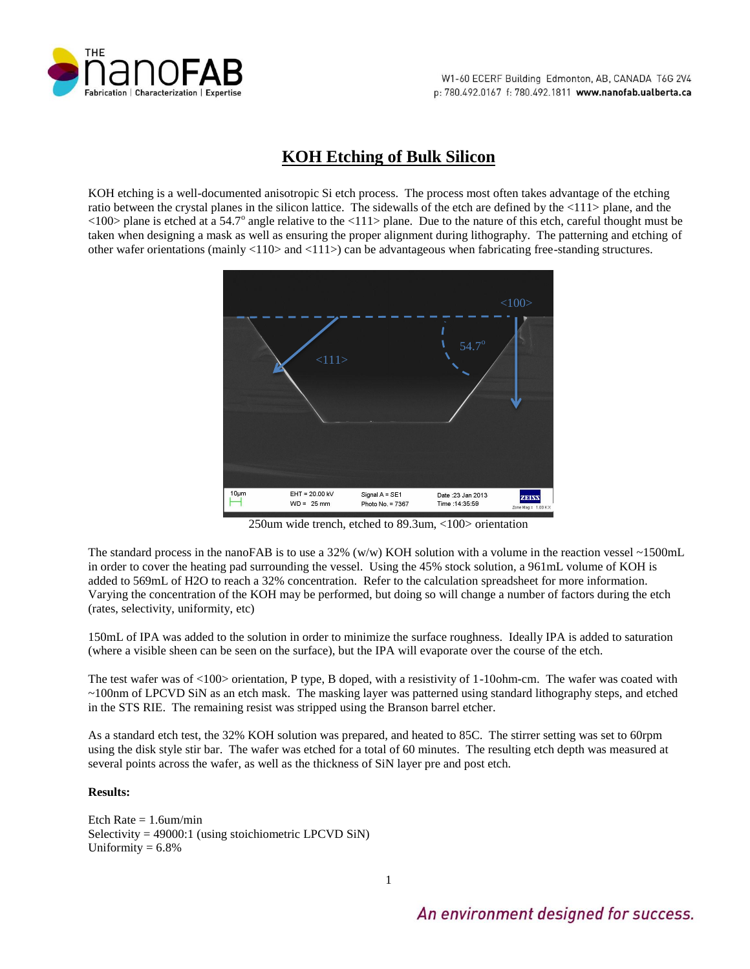

# **KOH Etching of Bulk Silicon**

KOH etching is a well-documented anisotropic Si etch process. The process most often takes advantage of the etching ratio between the crystal planes in the silicon lattice. The sidewalls of the etch are defined by the <111> plane, and the  $\langle 100 \rangle$  plane is etched at a 54.7° angle relative to the  $\langle 111 \rangle$  plane. Due to the nature of this etch, careful thought must be taken when designing a mask as well as ensuring the proper alignment during lithography. The patterning and etching of other wafer orientations (mainly <110> and <111>) can be advantageous when fabricating free-standing structures.



250um wide trench, etched to 89.3um, <100> orientation

The standard process in the nanoFAB is to use a 32% (w/w) KOH solution with a volume in the reaction vessel ~1500mL in order to cover the heating pad surrounding the vessel. Using the 45% stock solution, a 961mL volume of KOH is added to 569mL of H2O to reach a 32% concentration. Refer to the calculation spreadsheet for more information. Varying the concentration of the KOH may be performed, but doing so will change a number of factors during the etch (rates, selectivity, uniformity, etc)

150mL of IPA was added to the solution in order to minimize the surface roughness. Ideally IPA is added to saturation (where a visible sheen can be seen on the surface), but the IPA will evaporate over the course of the etch.

The test wafer was of <100> orientation, P type, B doped, with a resistivity of 1-10ohm-cm. The wafer was coated with ~100nm of LPCVD SiN as an etch mask. The masking layer was patterned using standard lithography steps, and etched in the STS RIE. The remaining resist was stripped using the Branson barrel etcher.

As a standard etch test, the 32% KOH solution was prepared, and heated to 85C. The stirrer setting was set to 60rpm using the disk style stir bar. The wafer was etched for a total of 60 minutes. The resulting etch depth was measured at several points across the wafer, as well as the thickness of SiN layer pre and post etch.

## **Results:**

Etch Rate  $= 1.6$ um/min Selectivity = 49000:1 (using stoichiometric LPCVD SiN) Uniformity  $= 6.8\%$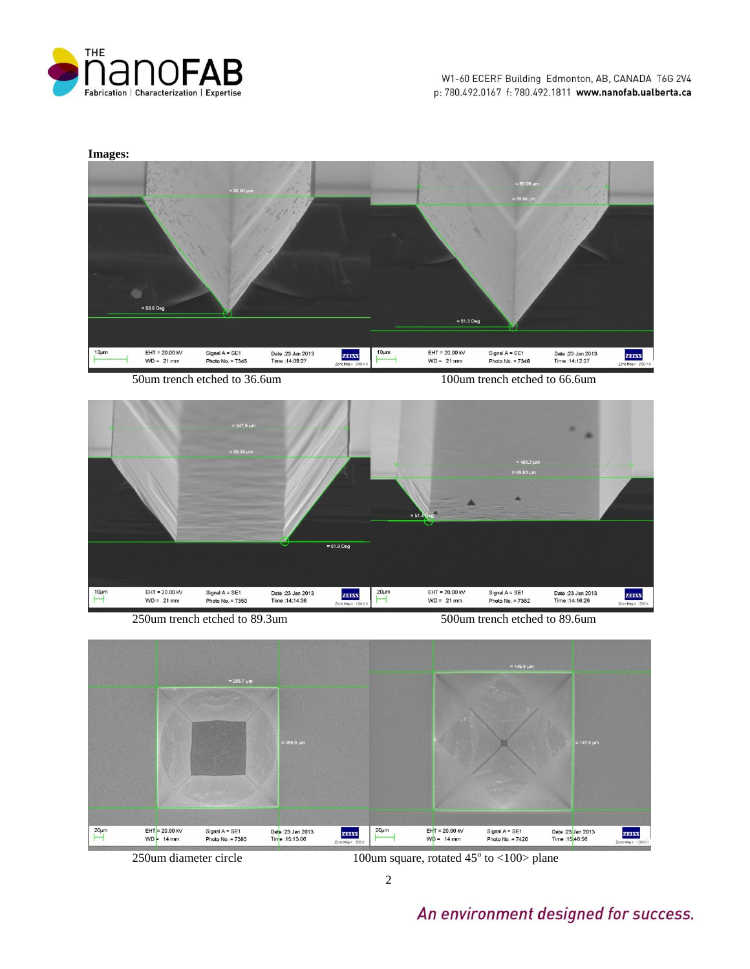



50um trench etched to 36.6um 100um trench etched to 66.6um



250um trench etched to 89.3um 500um trench etched to 89.6um



2

 $250$ um diameter circle  $100$ um square, rotated  $45^\circ$  to  $\langle 100 \rangle$  plane